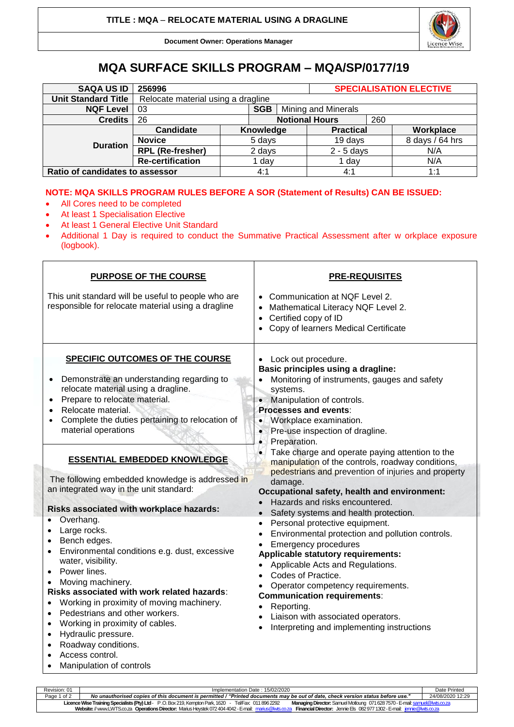Licence Wise

**Document Owner: Operations Manager**

## **MQA SURFACE SKILLS PROGRAM – MQA/SP/0177/19**

| <b>SAQA US ID</b>               | 256996                             |        |           |                       | <b>SPECIALISATION ELECTIVE</b> |     |                 |  |
|---------------------------------|------------------------------------|--------|-----------|-----------------------|--------------------------------|-----|-----------------|--|
| <b>Unit Standard Title</b>      | Relocate material using a dragline |        |           |                       |                                |     |                 |  |
| <b>NQF Level</b>                | <b>SGB</b><br>-03                  |        |           | Mining and Minerals   |                                |     |                 |  |
| <b>Credits</b>                  | 26                                 |        |           | <b>Notional Hours</b> |                                | 260 |                 |  |
| <b>Duration</b>                 | Candidate                          |        | Knowledge |                       | <b>Practical</b>               |     | Workplace       |  |
|                                 | <b>Novice</b>                      | 5 days |           |                       | 19 days                        |     | 8 days / 64 hrs |  |
|                                 | <b>RPL (Re-fresher)</b>            | 2 days |           |                       | $2 - 5$ days                   |     | N/A             |  |
|                                 | <b>Re-certification</b>            | day    |           |                       | 1 day                          |     | N/A             |  |
| Ratio of candidates to assessor |                                    |        | 4:1       |                       | 4:1                            |     | 1:1             |  |

## **NOTE: MQA SKILLS PROGRAM RULES BEFORE A SOR (Statement of Results) CAN BE ISSUED:**

- All Cores need to be completed
- At least 1 Specialisation Elective
- At least 1 General Elective Unit Standard
- Additional 1 Day is required to conduct the Summative Practical Assessment after w orkplace exposure (logbook).

| <b>PURPOSE OF THE COURSE</b>                                                                                                                                                                                                                                                                                                                                                                                                                                                                                                                                                                                                                                                                                                                                                                                                                                            | <b>PRE-REQUISITES</b>                                                                                                                                                                                                                                                                                                                                                                                                                                                                                                                                                                                                                                                                                                                                                                                                                                                                                                                                                                                                                                                                                                 |  |  |  |  |
|-------------------------------------------------------------------------------------------------------------------------------------------------------------------------------------------------------------------------------------------------------------------------------------------------------------------------------------------------------------------------------------------------------------------------------------------------------------------------------------------------------------------------------------------------------------------------------------------------------------------------------------------------------------------------------------------------------------------------------------------------------------------------------------------------------------------------------------------------------------------------|-----------------------------------------------------------------------------------------------------------------------------------------------------------------------------------------------------------------------------------------------------------------------------------------------------------------------------------------------------------------------------------------------------------------------------------------------------------------------------------------------------------------------------------------------------------------------------------------------------------------------------------------------------------------------------------------------------------------------------------------------------------------------------------------------------------------------------------------------------------------------------------------------------------------------------------------------------------------------------------------------------------------------------------------------------------------------------------------------------------------------|--|--|--|--|
| This unit standard will be useful to people who are<br>responsible for relocate material using a dragline                                                                                                                                                                                                                                                                                                                                                                                                                                                                                                                                                                                                                                                                                                                                                               | Communication at NQF Level 2.<br>Mathematical Literacy NQF Level 2.<br>$\bullet$<br>Certified copy of ID<br>$\bullet$<br>Copy of learners Medical Certificate<br>$\bullet$                                                                                                                                                                                                                                                                                                                                                                                                                                                                                                                                                                                                                                                                                                                                                                                                                                                                                                                                            |  |  |  |  |
| <b>SPECIFIC OUTCOMES OF THE COURSE</b><br>Demonstrate an understanding regarding to<br>relocate material using a dragline.<br>Prepare to relocate material.<br>Relocate material.<br>Complete the duties pertaining to relocation of<br>material operations<br><b>ESSENTIAL EMBEDDED KNOWLEDGE</b><br>The following embedded knowledge is addressed in<br>an integrated way in the unit standard:<br>Risks associated with workplace hazards:<br>Overhang.<br>Large rocks.<br>Bench edges.<br>Environmental conditions e.g. dust, excessive<br>water, visibility.<br>Power lines.<br>Moving machinery.<br>Risks associated with work related hazards:<br>Working in proximity of moving machinery.<br>Pedestrians and other workers.<br>$\bullet$<br>Working in proximity of cables.<br>٠<br>Hydraulic pressure.<br>$\bullet$<br>Roadway conditions.<br>Access control. | Lock out procedure.<br>$\bullet$<br>Basic principles using a dragline:<br>Monitoring of instruments, gauges and safety<br>systems.<br>Manipulation of controls.<br>$\bullet$<br><b>Processes and events:</b><br>Workplace examination.<br>$\bullet$<br>Pre-use inspection of dragline.<br>$\bullet$<br>Preparation.<br>$\bullet$<br>Take charge and operate paying attention to the<br>$\bullet$<br>manipulation of the controls, roadway conditions,<br>pedestrians and prevention of injuries and property<br>damage.<br>Occupational safety, health and environment:<br>Hazards and risks encountered.<br>$\bullet$<br>Safety systems and health protection.<br>$\bullet$<br>Personal protective equipment.<br>$\bullet$<br>Environmental protection and pollution controls.<br>$\bullet$<br><b>Emergency procedures</b><br>Applicable statutory requirements:<br>Applicable Acts and Regulations.<br>Codes of Practice.<br>Operator competency requirements.<br><b>Communication requirements:</b><br>Reporting.<br>Liaison with associated operators.<br>Interpreting and implementing instructions<br>$\bullet$ |  |  |  |  |
| Manipulation of controls<br>$\bullet$                                                                                                                                                                                                                                                                                                                                                                                                                                                                                                                                                                                                                                                                                                                                                                                                                                   |                                                                                                                                                                                                                                                                                                                                                                                                                                                                                                                                                                                                                                                                                                                                                                                                                                                                                                                                                                                                                                                                                                                       |  |  |  |  |

| Revision: 01                                                                                                                                                                          | Implementation Date: 15/02/2020                                                                                                 |                  |  |  |  |
|---------------------------------------------------------------------------------------------------------------------------------------------------------------------------------------|---------------------------------------------------------------------------------------------------------------------------------|------------------|--|--|--|
| Page 1 of 2                                                                                                                                                                           | No unauthorised copies of this document is permitted / "Printed documents may be out of date, check version status before use." | 24/08/2020 12:29 |  |  |  |
| Licence Wise Training Specialists (Pty) Ltd - P.O. Box 219, Kempton Park, 1620 - Tel/Fax: 011 896 2292<br>Managing Director: Samuel Motloung 071 628 7570 - E-mail: samuel@lwts.co.za |                                                                                                                                 |                  |  |  |  |
| Website: //www.LWTS.co.za Operations Director: Marius Heystek 072 404 4042 - E-mail: marius@lwts.co.za Financial Director: Jennie Els 082 977 1302 - E-mail: jennie@lwts.co.za        |                                                                                                                                 |                  |  |  |  |